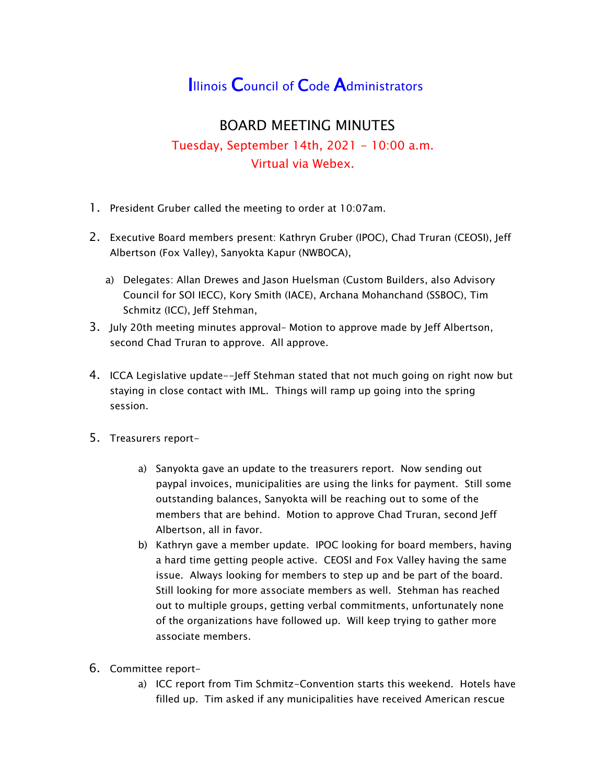## **Illinois Council of Code Administrators**

## BOARD MEETING MINUTES

## Tuesday, September 14th, 2021 - 10:00 a.m. Virtual via Webex.

- 1. President Gruber called the meeting to order at 10:07am.
- 2. Executive Board members present: Kathryn Gruber (IPOC), Chad Truran (CEOSI), Jeff Albertson (Fox Valley), Sanyokta Kapur (NWBOCA),
	- a) Delegates: Allan Drewes and Jason Huelsman (Custom Builders, also Advisory Council for SOI IECC), Kory Smith (IACE), Archana Mohanchand (SSBOC), Tim Schmitz (ICC), Jeff Stehman,
- 3. July 20th meeting minutes approval– Motion to approve made by Jeff Albertson, second Chad Truran to approve. All approve.
- 4. ICCA Legislative update--Jeff Stehman stated that not much going on right now but staying in close contact with IML. Things will ramp up going into the spring session.
- 5. Treasurers report
	- a) Sanyokta gave an update to the treasurers report. Now sending out paypal invoices, municipalities are using the links for payment. Still some outstanding balances, Sanyokta will be reaching out to some of the members that are behind. Motion to approve Chad Truran, second Jeff Albertson, all in favor.
	- b) Kathryn gave a member update. IPOC looking for board members, having a hard time getting people active. CEOSI and Fox Valley having the same issue. Always looking for members to step up and be part of the board. Still looking for more associate members as well. Stehman has reached out to multiple groups, getting verbal commitments, unfortunately none of the organizations have followed up. Will keep trying to gather more associate members.
- 6. Committee report
	- a) ICC report from Tim Schmitz-Convention starts this weekend. Hotels have filled up. Tim asked if any municipalities have received American rescue